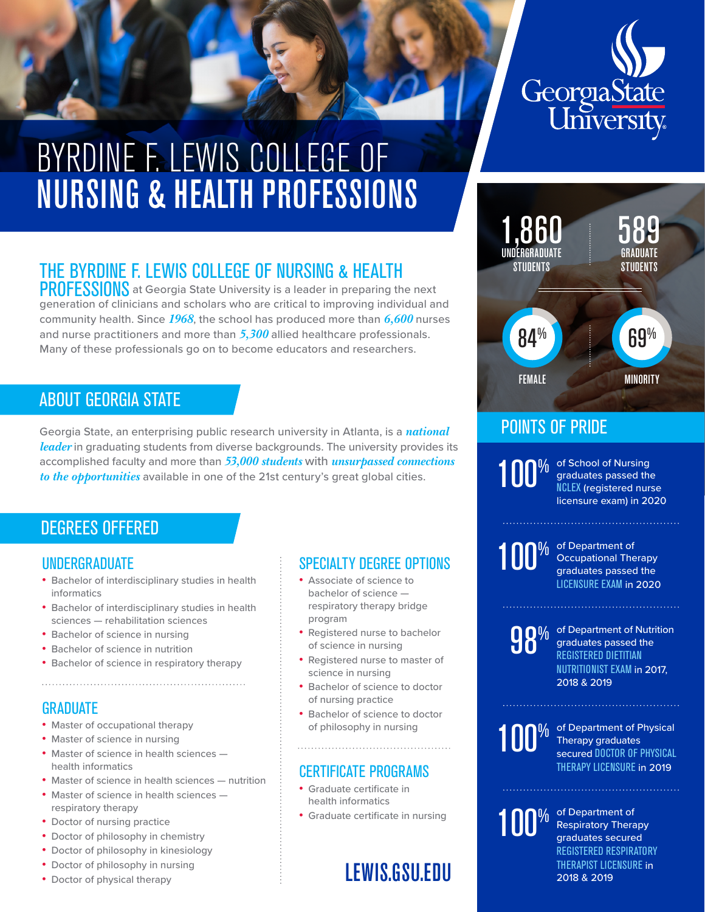

# BYRDINE F. LEWIS COLLEGE OF NURSING & HEALTH PROFESSIONS

# THE BYRDINE F. LEWIS COLLEGE OF NURSING & HEALTH

PROFESSIONS at Georgia State University is a leader in preparing the next generation of clinicians and scholars who are critical to improving individual and community health. Since *1968*, the school has produced more than *6,600* nurses and nurse practitioners and more than *5,300* allied healthcare professionals. Many of these professionals go on to become educators and researchers.

# ABOUT GEORGIA STATE

Georgia State, an enterprising public research university in Atlanta, is a *national leader* in graduating students from diverse backgrounds. The university provides its accomplished faculty and more than *53,000 students* with *unsurpassed connections to the opportunities* available in one of the 21st century's great global cities.

# DEGREES OFFERED

#### UNDERGRADUATE

- Bachelor of interdisciplinary studies in health informatics
- Bachelor of interdisciplinary studies in health sciences — rehabilitation sciences
- Bachelor of science in nursing
- Bachelor of science in nutrition
- Bachelor of science in respiratory therapy

# GRADUATE

- Master of occupational therapy
- Master of science in nursing
- Master of science in health sciences health informatics
- Master of science in health sciences nutrition
- Master of science in health sciences respiratory therapy
- Doctor of nursing practice
- Doctor of philosophy in chemistry
- Doctor of philosophy in kinesiology
- Doctor of philosophy in nursing
- Doctor of physical therapy

### SPECIALTY DEGREE OPTIONS

- Associate of science to bachelor of science respiratory therapy bridge program
- Registered nurse to bachelor of science in nursing
- Registered nurse to master of science in nursing
- Bachelor of science to doctor of nursing practice
- Bachelor of science to doctor of philosophy in nursing

#### CERTIFICATE PROGRAMS

- Graduate certificate in health informatics
- Graduate certificate in nursing

# LEWIS.GSU.EDU



# POINTS OF PRIDE

100%

of School of Nursing graduates passed the NCLEX (registered nurse licensure exam) in 2020



100<sup>% of Department of Occupational The graduates passed</sup> Occupational Therapy graduates passed the LICENSURE EXAM in 2020



**98%** of Department of Nutrition<br> **98** graduates passed the<br>
REGISTERED DIETITIAN graduates passed the REGISTERED DIETITIAN NUTRITIONIST EXAM in 2017, 2018 & 2019



of Department of Physical Therapy graduates secured DOCTOR OF PHYSICAL THERAPY LICENSURE in 2019

100<sup>% of Department of</sup><br>
<sup>graduates</sup> secure Respiratory Therapy graduates secured REGISTERED RESPIRATORY THERAPIST LICENSURE in 2018 & 2019